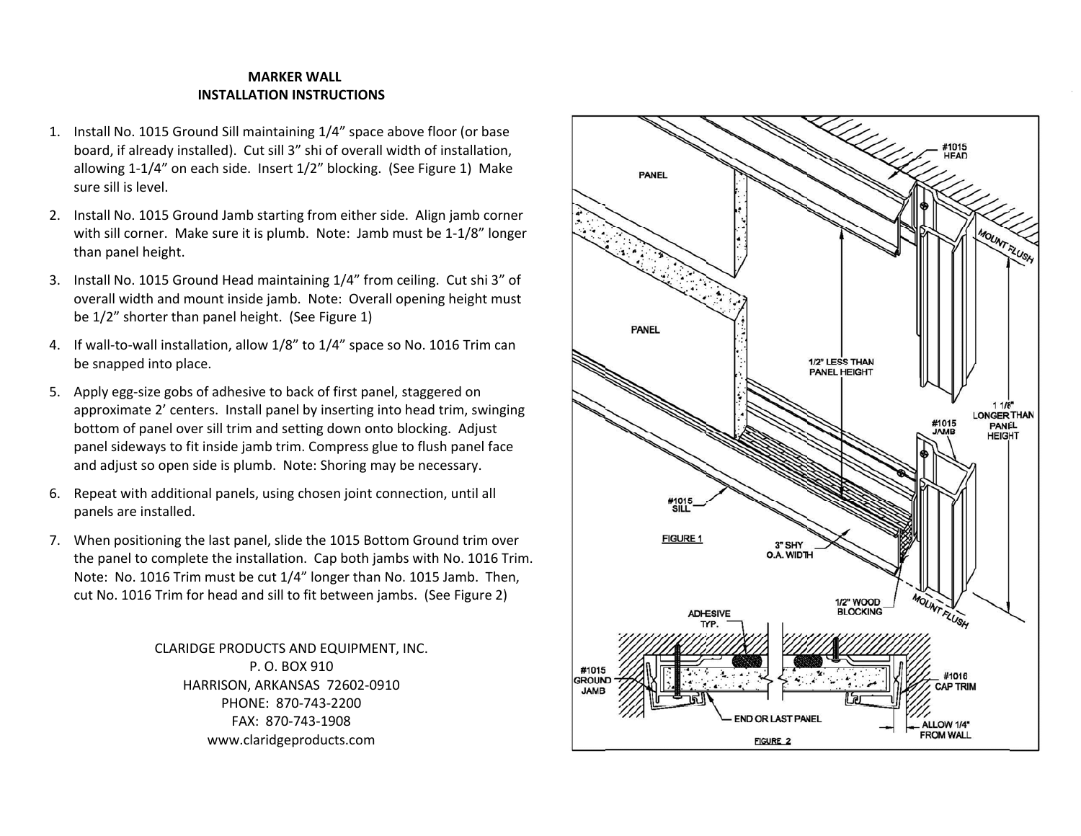## **INSTALLATION INNSTRUCTIONSMARKERWALL**

- 1. Install No. 1015 Ground Sill maintaining 1/4" space above floor (or base install No. 1015 Ground Sill maintaining 1/4" space above floor (or base<br>board, if already installed). Cut sill 3" shi of overall width of installation, allowing 1-1/4" on each side. Insert 1/2" blocking. (See Figure 1) Make sure sill is level.
- 2. Install No. 1015 Ground Jamb starting from either side. Align jamb corner with sill corner. Make sure it is plumb. Note: Jamb must be 1-1/8" longer than panel height.
- 3. Install No. 1015 Ground Head maintaining 1/4" from ceiling. Cut shi 3" of overall width and mount inside jamb. Note: Overall opening height must be 1/2" shorter than panel height. (See Figure 1)
- 4. If wall-to-wall installation, allow 1/8" to 1/4" space so No. 1016 Trim can be sn napped into place e.
- 5. Apply egg-size gobs of adhesive to back of first panel, staggered on approximate 2' centers. Install panel by inserting into head trim, swinging bottom of panel over sill trim and setting down onto blocking. Adjust panel sideways to fit inside jamb trim. Compress glue to flush panel face and adjust so open side is plumb. Note: Shoring may be necessary.
- 6. Repeat with additional panels, using chosen joint connection, until all panels are installed.
- 7. When positioning the last panel, slide the 1015 Bottom Ground trim over the panel to complete the installation. Cap both jambs with No. 1016 Trim. Note: No. 1016 Trim must be cut 1/4" longer than No. 1015 Jamb. Then, cut No. 1016 Trim for head and sill to fit between jambs. (See Figure 2)

CLARIDGE PRODUCTS AND EQUIPMENT, INC. HA RRISON, ARKANS SAS 72602‐0910 P. O. BOX 910 PHONE: 870‐743‐2200FAX: 870‐7443‐1908www.claridgeproducts.com